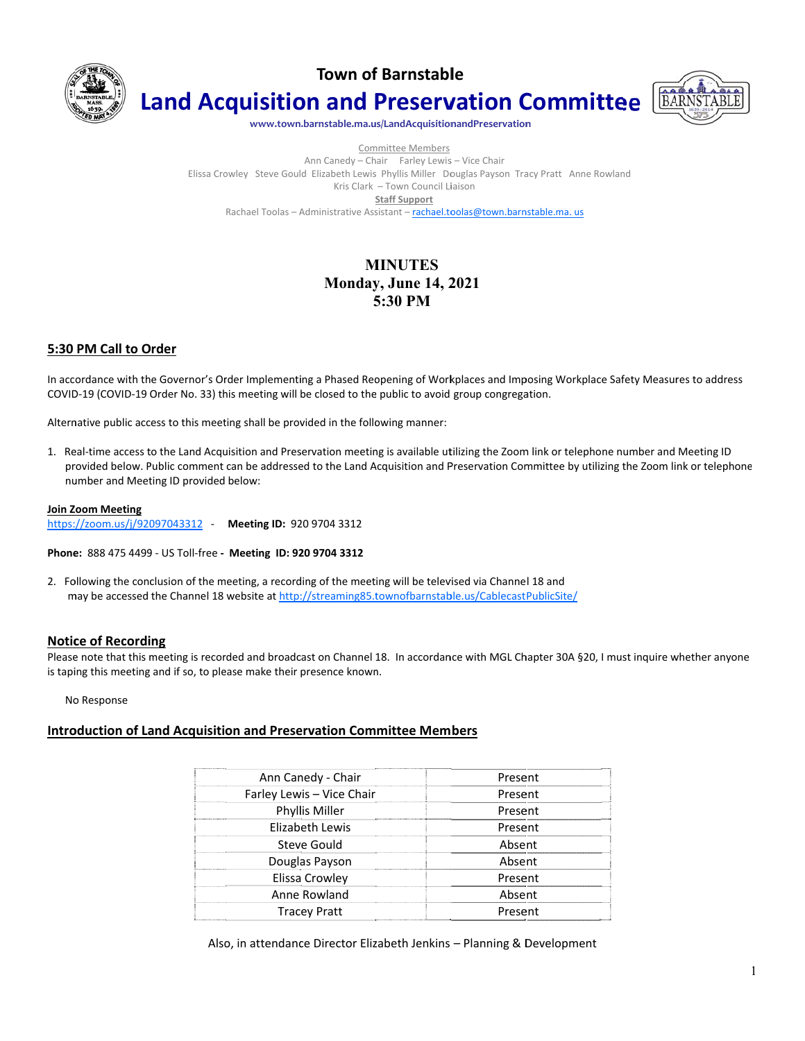

**Town of Barnstable** 

**Land Acquisition and Preservation Committee** 



www.town.barnstable.ma.us/LandAcquisitionandPreservation

Committee Members Ann Canedy - Chair Farley Lewis - Vice Chair Elissa Crowley Steve Gould Elizabeth Lewis Phyllis Miller Douglas Payson Tracy Pratt Anne Rowland Kris Clark - Town Council Liaison **Staff Support** Rachael Toolas - Administrative Assistant - rachael.toolas@town.barnstable.ma.us

# **MINUTES Monday, June 14, 2021** 5:30 PM

### 5:30 PM Call to Order

In accordance with the Governor's Order Implementing a Phased Reopening of Workplaces and Imposing Workplace Safety Measures to address COVID-19 (COVID-19 Order No. 33) this meeting will be closed to the public to avoid group congregation.

Alternative public access to this meeting shall be provided in the following manner:

1. Real-time access to the Land Acquisition and Preservation meeting is available utilizing the Zoom link or telephone number and Meeting ID provided below. Public comment can be addressed to the Land Acquisition and Preservation Committee by utilizing the Zoom link or telephone number and Meeting ID provided below:

#### **Join Zoom Meeting**

https://zoom.us/j/92097043312 - Meeting ID: 920 9704 3312

Phone: 888 475 4499 - US Toll-free - Meeting ID: 920 9704 3312

2. Following the conclusion of the meeting, a recording of the meeting will be televised via Channel 18 and may be accessed the Channel 18 website at http://streaming85.townofbarnstable.us/CablecastPublicSite/

### **Notice of Recording**

Please note that this meeting is recorded and broadcast on Channel 18. In accordance with MGL Chapter 30A §20, I must inquire whether anyone is taping this meeting and if so, to please make their presence known.

No Response

# **Introduction of Land Acquisition and Preservation Committee Members**

| Ann Canedy - Chair<br>         | Present |
|--------------------------------|---------|
| Farley Lewis - Vice Chair<br>. | Present |
| Phyllis Miller<br>             | Present |
| Elizabeth Lewis<br><br>        | Present |
| Steve Gould                    | Absent  |
| Douglas Payson<br>             | Absent  |
| Elissa Crowley                 | Present |
| Anne Rowland<br>.              | Absent  |
| <b>Tracey Pratt</b>            | Present |

Also, in attendance Director Elizabeth Jenkins - Planning & Development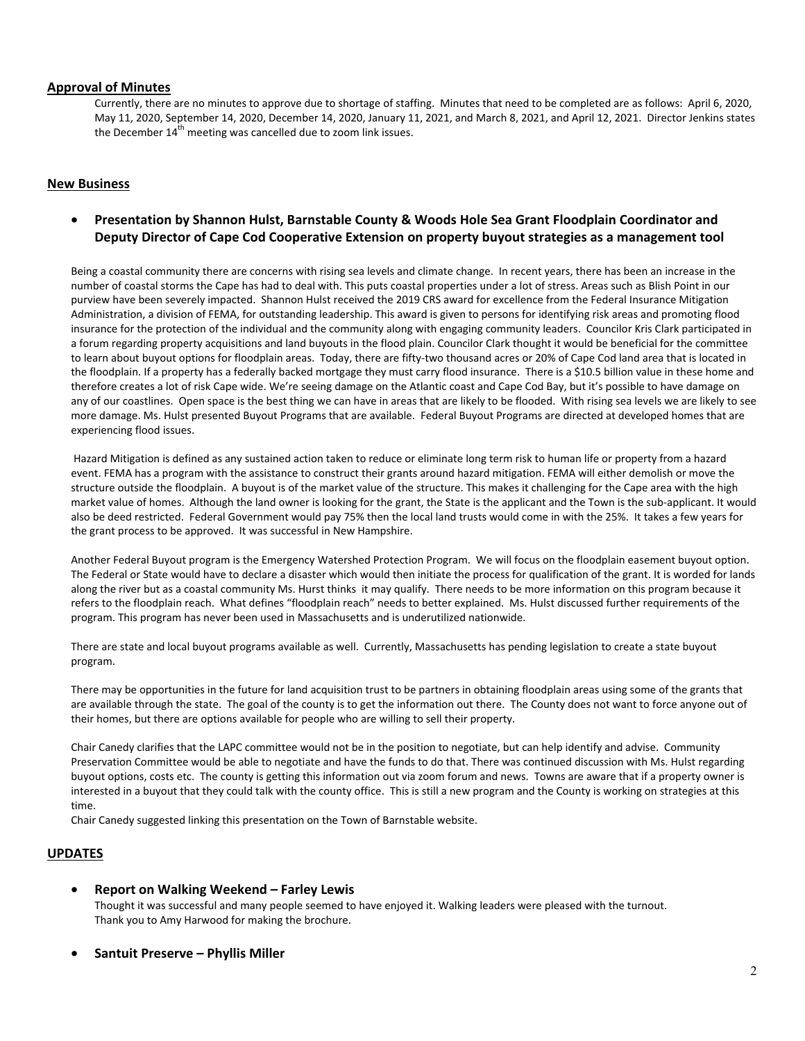### **Approval of Minutes**

Currently, there are no minutes to approve due to shortage of staffing. Minutes that need to be completed are as follows: April 6, 2020, May 11, 2020, September 14, 2020, December 14, 2020, January 11, 2021, and March 8, 2021, and April 12, 2021. Director Jenkins states the December  $14<sup>th</sup>$  meeting was cancelled due to zoom link issues.

## **New Business**

# • **Presentation by Shannon Hulst, Barnstable County & Woods Hole Sea Grant Floodplain Coordinator and Deputy Director of Cape Cod Cooperative Extension on property buyout strategies as a management tool**

Being a coastal community there are concerns with rising sea levels and climate change. In recent years, there has been an increase in the number of coastal storms the Cape has had to deal with. This puts coastal properties under a lot of stress. Areas such as Blish Point in our purview have been severely impacted. Shannon Hulst received the 2019 CRS award for excellence from the Federal Insurance Mitigation Administration, a division of FEMA, for outstanding leadership. This award is given to persons for identifying risk areas and promoting flood insurance for the protection of the individual and the community along with engaging community leaders. Councilor Kris Clark participated in a forum regarding property acquisitions and land buyouts in the flood plain. Councilor Clark thought it would be beneficial for the committee to learn about buyout options for floodplain areas. Today, there are fifty-two thousand acres or 20% of Cape Cod land area that is located in the floodplain. If a property has a federally backed mortgage they must carry flood insurance. There is a \$10.5 billion value in these home and therefore creates a lot of risk Cape wide. We're seeing damage on the Atlantic coast and Cape Cod Bay, but it's possible to have damage on any of our coastlines. Open space is the best thing we can have in areas that are likely to be flooded. With rising sea levels we are likely to see more damage. Ms. Hulst presented Buyout Programs that are available. Federal Buyout Programs are directed at developed homes that are experiencing flood issues.

 Hazard Mitigation is defined as any sustained action taken to reduce or eliminate long term risk to human life or property from a hazard event. FEMA has a program with the assistance to construct their grants around hazard mitigation. FEMA will either demolish or move the structure outside the floodplain. A buyout is of the market value of the structure. This makes it challenging for the Cape area with the high market value of homes. Although the land owner is looking for the grant, the State is the applicant and the Town is the sub-applicant. It would also be deed restricted. Federal Government would pay 75% then the local land trusts would come in with the 25%. It takes a few years for the grant process to be approved. It was successful in New Hampshire.

Another Federal Buyout program is the Emergency Watershed Protection Program. We will focus on the floodplain easement buyout option. The Federal or State would have to declare a disaster which would then initiate the process for qualification of the grant. It is worded for lands along the river but as a coastal community Ms. Hurst thinks it may qualify. There needs to be more information on this program because it refers to the floodplain reach. What defines "floodplain reach" needs to better explained. Ms. Hulst discussed further requirements of the program. This program has never been used in Massachusetts and is underutilized nationwide.

There are state and local buyout programs available as well. Currently, Massachusetts has pending legislation to create a state buyout program.

There may be opportunities in the future for land acquisition trust to be partners in obtaining floodplain areas using some of the grants that are available through the state. The goal of the county is to get the information out there. The County does not want to force anyone out of their homes, but there are options available for people who are willing to sell their property.

Chair Canedy clarifies that the LAPC committee would not be in the position to negotiate, but can help identify and advise. Community Preservation Committee would be able to negotiate and have the funds to do that. There was continued discussion with Ms. Hulst regarding buyout options, costs etc. The county is getting this information out via zoom forum and news. Towns are aware that if a property owner is interested in a buyout that they could talk with the county office. This is still a new program and the County is working on strategies at this time.

Chair Canedy suggested linking this presentation on the Town of Barnstable website.

### **UPDATES**

• **Report on Walking Weekend – Farley Lewis** 

Thought it was successful and many people seemed to have enjoyed it. Walking leaders were pleased with the turnout. Thank you to Amy Harwood for making the brochure.

• **Santuit Preserve – Phyllis Miller**